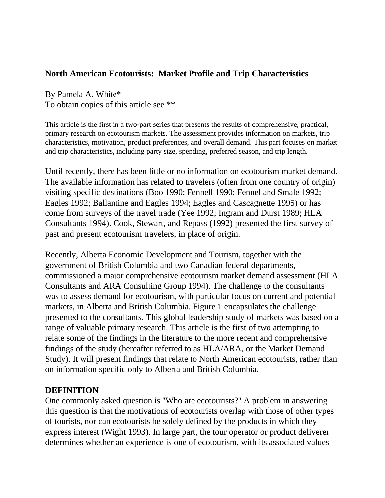## **North American Ecotourists: Market Profile and Trip Characteristics**

By Pamela A. White\* To obtain copies of this article see \*\*

This article is the first in a two-part series that presents the results of comprehensive, practical, primary research on ecotourism markets. The assessment provides information on markets, trip characteristics, motivation, product preferences, and overall demand. This part focuses on market and trip characteristics, including party size, spending, preferred season, and trip length.

Until recently, there has been little or no information on ecotourism market demand. The available information has related to travelers (often from one country of origin) visiting specific destinations (Boo 1990; Fennell 1990; Fennel and Smale 1992; Eagles 1992; Ballantine and Eagles 1994; Eagles and Cascagnette 1995) or has come from surveys of the travel trade (Yee 1992; Ingram and Durst 1989; HLA Consultants 1994). Cook, Stewart, and Repass (1992) presented the first survey of past and present ecotourism travelers, in place of origin.

Recently, Alberta Economic Development and Tourism, together with the government of British Columbia and two Canadian federal departments, commissioned a major comprehensive ecotourism market demand assessment (HLA Consultants and ARA Consulting Group 1994). The challenge to the consultants was to assess demand for ecotourism, with particular focus on current and potential markets, in Alberta and British Columbia. Figure 1 encapsulates the challenge presented to the consultants. This global leadership study of markets was based on a range of valuable primary research. This article is the first of two attempting to relate some of the findings in the literature to the more recent and comprehensive findings of the study (hereafter referred to as HLA/ARA, or the Market Demand Study). It will present findings that relate to North American ecotourists, rather than on information specific only to Alberta and British Columbia.

#### **DEFINITION**

One commonly asked question is ''Who are ecotourists?'' A problem in answering this question is that the motivations of ecotourists overlap with those of other types of tourists, nor can ecotourists be solely defined by the products in which they express interest (Wight 1993). In large part, the tour operator or product deliverer determines whether an experience is one of ecotourism, with its associated values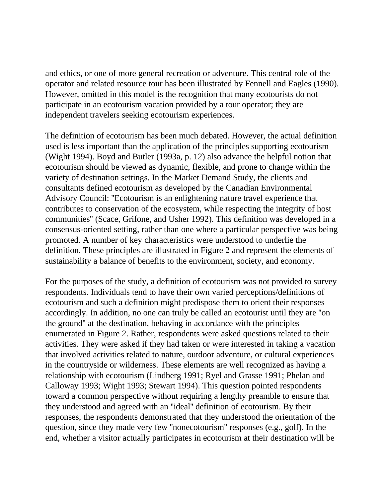and ethics, or one of more general recreation or adventure. This central role of the operator and related resource tour has been illustrated by Fennell and Eagles (1990). However, omitted in this model is the recognition that many ecotourists do not participate in an ecotourism vacation provided by a tour operator; they are independent travelers seeking ecotourism experiences.

The definition of ecotourism has been much debated. However, the actual definition used is less important than the application of the principles supporting ecotourism (Wight 1994). Boyd and Butler (1993a, p. 12) also advance the helpful notion that ecotourism should be viewed as dynamic, flexible, and prone to change within the variety of destination settings. In the Market Demand Study, the clients and consultants defined ecotourism as developed by the Canadian Environmental Advisory Council: ''Ecotourism is an enlightening nature travel experience that contributes to conservation of the ecosystem, while respecting the integrity of host communities'' (Scace, Grifone, and Usher 1992). This definition was developed in a consensus-oriented setting, rather than one where a particular perspective was being promoted. A number of key characteristics were understood to underlie the definition. These principles are illustrated in Figure 2 and represent the elements of sustainability a balance of benefits to the environment, society, and economy.

For the purposes of the study, a definition of ecotourism was not provided to survey respondents. Individuals tend to have their own varied perceptions/definitions of ecotourism and such a definition might predispose them to orient their responses accordingly. In addition, no one can truly be called an ecotourist until they are ''on the ground'' at the destination, behaving in accordance with the principles enumerated in Figure 2. Rather, respondents were asked questions related to their activities. They were asked if they had taken or were interested in taking a vacation that involved activities related to nature, outdoor adventure, or cultural experiences in the countryside or wilderness. These elements are well recognized as having a relationship with ecotourism (Lindberg 1991; Ryel and Grasse 1991; Phelan and Calloway 1993; Wight 1993; Stewart 1994). This question pointed respondents toward a common perspective without requiring a lengthy preamble to ensure that they understood and agreed with an ''ideal'' definition of ecotourism. By their responses, the respondents demonstrated that they understood the orientation of the question, since they made very few ''nonecotourism'' responses (e.g., golf). In the end, whether a visitor actually participates in ecotourism at their destination will be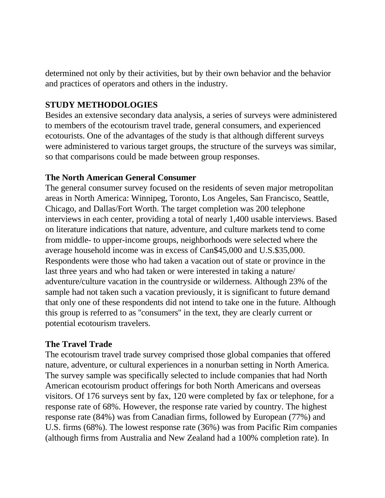determined not only by their activities, but by their own behavior and the behavior and practices of operators and others in the industry.

# **STUDY METHODOLOGIES**

Besides an extensive secondary data analysis, a series of surveys were administered to members of the ecotourism travel trade, general consumers, and experienced ecotourists. One of the advantages of the study is that although different surveys were administered to various target groups, the structure of the surveys was similar, so that comparisons could be made between group responses.

### **The North American General Consumer**

The general consumer survey focused on the residents of seven major metropolitan areas in North America: Winnipeg, Toronto, Los Angeles, San Francisco, Seattle, Chicago, and Dallas/Fort Worth. The target completion was 200 telephone interviews in each center, providing a total of nearly 1,400 usable interviews. Based on literature indications that nature, adventure, and culture markets tend to come from middle- to upper-income groups, neighborhoods were selected where the average household income was in excess of Can\$45,000 and U.S.\$35,000. Respondents were those who had taken a vacation out of state or province in the last three years and who had taken or were interested in taking a nature/ adventure/culture vacation in the countryside or wilderness. Although 23% of the sample had not taken such a vacation previously, it is significant to future demand that only one of these respondents did not intend to take one in the future. Although this group is referred to as ''consumers'' in the text, they are clearly current or potential ecotourism travelers.

## **The Travel Trade**

The ecotourism travel trade survey comprised those global companies that offered nature, adventure, or cultural experiences in a nonurban setting in North America. The survey sample was specifically selected to include companies that had North American ecotourism product offerings for both North Americans and overseas visitors. Of 176 surveys sent by fax, 120 were completed by fax or telephone, for a response rate of 68%. However, the response rate varied by country. The highest response rate (84%) was from Canadian firms, followed by European (77%) and U.S. firms (68%). The lowest response rate (36%) was from Pacific Rim companies (although firms from Australia and New Zealand had a 100% completion rate). In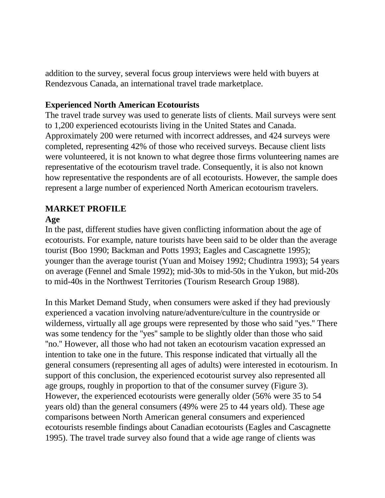addition to the survey, several focus group interviews were held with buyers at Rendezvous Canada, an international travel trade marketplace.

## **Experienced North American Ecotourists**

The travel trade survey was used to generate lists of clients. Mail surveys were sent to 1,200 experienced ecotourists living in the United States and Canada. Approximately 200 were returned with incorrect addresses, and 424 surveys were completed, representing 42% of those who received surveys. Because client lists were volunteered, it is not known to what degree those firms volunteering names are representative of the ecotourism travel trade. Consequently, it is also not known how representative the respondents are of all ecotourists. However, the sample does represent a large number of experienced North American ecotourism travelers.

# **MARKET PROFILE**

### **Age**

In the past, different studies have given conflicting information about the age of ecotourists. For example, nature tourists have been said to be older than the average tourist (Boo 1990; Backman and Potts 1993; Eagles and Cascagnette 1995); younger than the average tourist (Yuan and Moisey 1992; Chudintra 1993); 54 years on average (Fennel and Smale 1992); mid-30s to mid-50s in the Yukon, but mid-20s to mid-40s in the Northwest Territories (Tourism Research Group 1988).

In this Market Demand Study, when consumers were asked if they had previously experienced a vacation involving nature/adventure/culture in the countryside or wilderness, virtually all age groups were represented by those who said ''yes.'' There was some tendency for the ''yes'' sample to be slightly older than those who said ''no.'' However, all those who had not taken an ecotourism vacation expressed an intention to take one in the future. This response indicated that virtually all the general consumers (representing all ages of adults) were interested in ecotourism. In support of this conclusion, the experienced ecotourist survey also represented all age groups, roughly in proportion to that of the consumer survey (Figure 3). However, the experienced ecotourists were generally older (56% were 35 to 54 years old) than the general consumers (49% were 25 to 44 years old). These age comparisons between North American general consumers and experienced ecotourists resemble findings about Canadian ecotourists (Eagles and Cascagnette 1995). The travel trade survey also found that a wide age range of clients was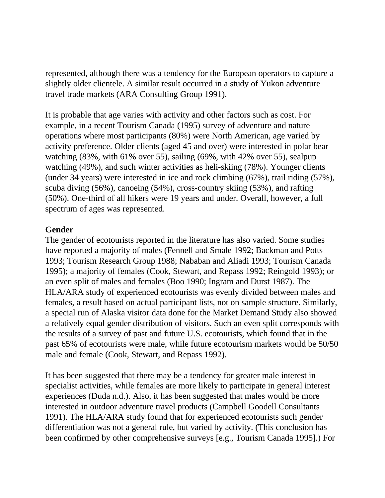represented, although there was a tendency for the European operators to capture a slightly older clientele. A similar result occurred in a study of Yukon adventure travel trade markets (ARA Consulting Group 1991).

It is probable that age varies with activity and other factors such as cost. For example, in a recent Tourism Canada (1995) survey of adventure and nature operations where most participants (80%) were North American, age varied by activity preference. Older clients (aged 45 and over) were interested in polar bear watching (83%, with 61% over 55), sailing (69%, with 42% over 55), sealpup watching (49%), and such winter activities as heli-skiing (78%). Younger clients (under 34 years) were interested in ice and rock climbing (67%), trail riding (57%), scuba diving (56%), canoeing (54%), cross-country skiing (53%), and rafting (50%). One-third of all hikers were 19 years and under. Overall, however, a full spectrum of ages was represented.

### **Gender**

The gender of ecotourists reported in the literature has also varied. Some studies have reported a majority of males (Fennell and Smale 1992; Backman and Potts 1993; Tourism Research Group 1988; Nababan and Aliadi 1993; Tourism Canada 1995); a majority of females (Cook, Stewart, and Repass 1992; Reingold 1993); or an even split of males and females (Boo 1990; Ingram and Durst 1987). The HLA/ARA study of experienced ecotourists was evenly divided between males and females, a result based on actual participant lists, not on sample structure. Similarly, a special run of Alaska visitor data done for the Market Demand Study also showed a relatively equal gender distribution of visitors. Such an even split corresponds with the results of a survey of past and future U.S. ecotourists, which found that in the past 65% of ecotourists were male, while future ecotourism markets would be 50/50 male and female (Cook, Stewart, and Repass 1992).

It has been suggested that there may be a tendency for greater male interest in specialist activities, while females are more likely to participate in general interest experiences (Duda n.d.). Also, it has been suggested that males would be more interested in outdoor adventure travel products (Campbell Goodell Consultants 1991). The HLA/ARA study found that for experienced ecotourists such gender differentiation was not a general rule, but varied by activity. (This conclusion has been confirmed by other comprehensive surveys [e.g., Tourism Canada 1995].) For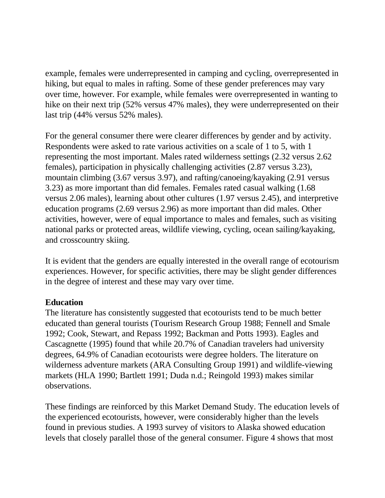example, females were underrepresented in camping and cycling, overrepresented in hiking, but equal to males in rafting. Some of these gender preferences may vary over time, however. For example, while females were overrepresented in wanting to hike on their next trip (52% versus 47% males), they were underrepresented on their last trip (44% versus 52% males).

For the general consumer there were clearer differences by gender and by activity. Respondents were asked to rate various activities on a scale of 1 to 5, with 1 representing the most important. Males rated wilderness settings (2.32 versus 2.62 females), participation in physically challenging activities (2.87 versus 3.23), mountain climbing (3.67 versus 3.97), and rafting/canoeing/kayaking (2.91 versus 3.23) as more important than did females. Females rated casual walking (1.68 versus 2.06 males), learning about other cultures (1.97 versus 2.45), and interpretive education programs (2.69 versus 2.96) as more important than did males. Other activities, however, were of equal importance to males and females, such as visiting national parks or protected areas, wildlife viewing, cycling, ocean sailing/kayaking, and crosscountry skiing.

It is evident that the genders are equally interested in the overall range of ecotourism experiences. However, for specific activities, there may be slight gender differences in the degree of interest and these may vary over time.

#### **Education**

The literature has consistently suggested that ecotourists tend to be much better educated than general tourists (Tourism Research Group 1988; Fennell and Smale 1992; Cook, Stewart, and Repass 1992; Backman and Potts 1993). Eagles and Cascagnette (1995) found that while 20.7% of Canadian travelers had university degrees, 64.9% of Canadian ecotourists were degree holders. The literature on wilderness adventure markets (ARA Consulting Group 1991) and wildlife-viewing markets (HLA 1990; Bartlett 1991; Duda n.d.; Reingold 1993) makes similar observations.

These findings are reinforced by this Market Demand Study. The education levels of the experienced ecotourists, however, were considerably higher than the levels found in previous studies. A 1993 survey of visitors to Alaska showed education levels that closely parallel those of the general consumer. Figure 4 shows that most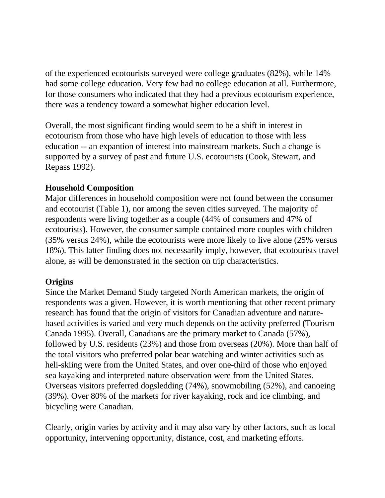of the experienced ecotourists surveyed were college graduates (82%), while 14% had some college education. Very few had no college education at all. Furthermore, for those consumers who indicated that they had a previous ecotourism experience, there was a tendency toward a somewhat higher education level.

Overall, the most significant finding would seem to be a shift in interest in ecotourism from those who have high levels of education to those with less education -- an expantion of interest into mainstream markets. Such a change is supported by a survey of past and future U.S. ecotourists (Cook, Stewart, and Repass 1992).

### **Household Composition**

Major differences in household composition were not found between the consumer and ecotourist (Table 1), nor among the seven cities surveyed. The majority of respondents were living together as a couple (44% of consumers and 47% of ecotourists). However, the consumer sample contained more couples with children (35% versus 24%), while the ecotourists were more likely to live alone (25% versus 18%). This latter finding does not necessarily imply, however, that ecotourists travel alone, as will be demonstrated in the section on trip characteristics.

#### **Origins**

Since the Market Demand Study targeted North American markets, the origin of respondents was a given. However, it is worth mentioning that other recent primary research has found that the origin of visitors for Canadian adventure and naturebased activities is varied and very much depends on the activity preferred (Tourism Canada 1995). Overall, Canadians are the primary market to Canada (57%), followed by U.S. residents (23%) and those from overseas (20%). More than half of the total visitors who preferred polar bear watching and winter activities such as heli-skiing were from the United States, and over one-third of those who enjoyed sea kayaking and interpreted nature observation were from the United States. Overseas visitors preferred dogsledding (74%), snowmobiling (52%), and canoeing (39%). Over 80% of the markets for river kayaking, rock and ice climbing, and bicycling were Canadian.

Clearly, origin varies by activity and it may also vary by other factors, such as local opportunity, intervening opportunity, distance, cost, and marketing efforts.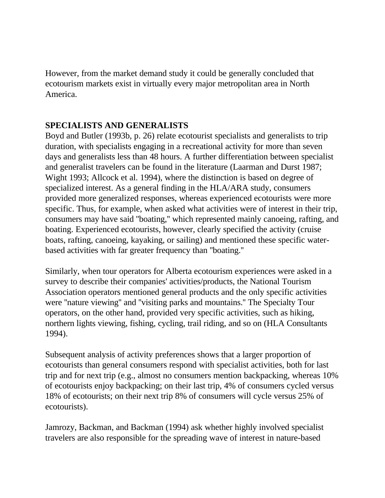However, from the market demand study it could be generally concluded that ecotourism markets exist in virtually every major metropolitan area in North America.

## **SPECIALISTS AND GENERALISTS**

Boyd and Butler (1993b, p. 26) relate ecotourist specialists and generalists to trip duration, with specialists engaging in a recreational activity for more than seven days and generalists less than 48 hours. A further differentiation between specialist and generalist travelers can be found in the literature (Laarman and Durst 1987; Wight 1993; Allcock et al. 1994), where the distinction is based on degree of specialized interest. As a general finding in the HLA/ARA study, consumers provided more generalized responses, whereas experienced ecotourists were more specific. Thus, for example, when asked what activities were of interest in their trip, consumers may have said ''boating,'' which represented mainly canoeing, rafting, and boating. Experienced ecotourists, however, clearly specified the activity (cruise boats, rafting, canoeing, kayaking, or sailing) and mentioned these specific waterbased activities with far greater frequency than ''boating.''

Similarly, when tour operators for Alberta ecotourism experiences were asked in a survey to describe their companies' activities/products, the National Tourism Association operators mentioned general products and the only specific activities were ''nature viewing'' and ''visiting parks and mountains.'' The Specialty Tour operators, on the other hand, provided very specific activities, such as hiking, northern lights viewing, fishing, cycling, trail riding, and so on (HLA Consultants 1994).

Subsequent analysis of activity preferences shows that a larger proportion of ecotourists than general consumers respond with specialist activities, both for last trip and for next trip (e.g., almost no consumers mention backpacking, whereas 10% of ecotourists enjoy backpacking; on their last trip, 4% of consumers cycled versus 18% of ecotourists; on their next trip 8% of consumers will cycle versus 25% of ecotourists).

Jamrozy, Backman, and Backman (1994) ask whether highly involved specialist travelers are also responsible for the spreading wave of interest in nature-based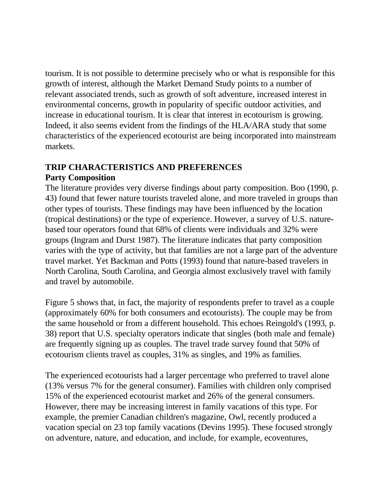tourism. It is not possible to determine precisely who or what is responsible for this growth of interest, although the Market Demand Study points to a number of relevant associated trends, such as growth of soft adventure, increased interest in environmental concerns, growth in popularity of specific outdoor activities, and increase in educational tourism. It is clear that interest in ecotourism is growing. Indeed, it also seems evident from the findings of the HLA/ARA study that some characteristics of the experienced ecotourist are being incorporated into mainstream markets.

# **TRIP CHARACTERISTICS AND PREFERENCES**

## **Party Composition**

The literature provides very diverse findings about party composition. Boo (1990, p. 43) found that fewer nature tourists traveled alone, and more traveled in groups than other types of tourists. These findings may have been influenced by the location (tropical destinations) or the type of experience. However, a survey of U.S. naturebased tour operators found that 68% of clients were individuals and 32% were groups (Ingram and Durst 1987). The literature indicates that party composition varies with the type of activity, but that families are not a large part of the adventure travel market. Yet Backman and Potts (1993) found that nature-based travelers in North Carolina, South Carolina, and Georgia almost exclusively travel with family and travel by automobile.

Figure 5 shows that, in fact, the majority of respondents prefer to travel as a couple (approximately 60% for both consumers and ecotourists). The couple may be from the same household or from a different household. This echoes Reingold's (1993, p. 38) report that U.S. specialty operators indicate that singles (both male and female) are frequently signing up as couples. The travel trade survey found that 50% of ecotourism clients travel as couples, 31% as singles, and 19% as families.

The experienced ecotourists had a larger percentage who preferred to travel alone (13% versus 7% for the general consumer). Families with children only comprised 15% of the experienced ecotourist market and 26% of the general consumers. However, there may be increasing interest in family vacations of this type. For example, the premier Canadian children's magazine, Owl, recently produced a vacation special on 23 top family vacations (Devins 1995). These focused strongly on adventure, nature, and education, and include, for example, ecoventures,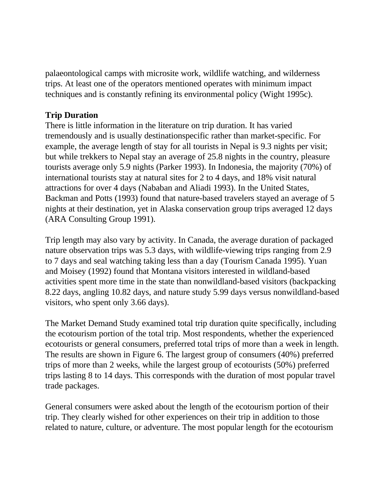palaeontological camps with microsite work, wildlife watching, and wilderness trips. At least one of the operators mentioned operates with minimum impact techniques and is constantly refining its environmental policy (Wight 1995c).

## **Trip Duration**

There is little information in the literature on trip duration. It has varied tremendously and is usually destinationspecific rather than market-specific. For example, the average length of stay for all tourists in Nepal is 9.3 nights per visit; but while trekkers to Nepal stay an average of 25.8 nights in the country, pleasure tourists average only 5.9 nights (Parker 1993). In Indonesia, the majority (70%) of international tourists stay at natural sites for 2 to 4 days, and 18% visit natural attractions for over 4 days (Nababan and Aliadi 1993). In the United States, Backman and Potts (1993) found that nature-based travelers stayed an average of 5 nights at their destination, yet in Alaska conservation group trips averaged 12 days (ARA Consulting Group 1991).

Trip length may also vary by activity. In Canada, the average duration of packaged nature observation trips was 5.3 days, with wildlife-viewing trips ranging from 2.9 to 7 days and seal watching taking less than a day (Tourism Canada 1995). Yuan and Moisey (1992) found that Montana visitors interested in wildland-based activities spent more time in the state than nonwildland-based visitors (backpacking 8.22 days, angling 10.82 days, and nature study 5.99 days versus nonwildland-based visitors, who spent only 3.66 days).

The Market Demand Study examined total trip duration quite specifically, including the ecotourism portion of the total trip. Most respondents, whether the experienced ecotourists or general consumers, preferred total trips of more than a week in length. The results are shown in Figure 6. The largest group of consumers (40%) preferred trips of more than 2 weeks, while the largest group of ecotourists (50%) preferred trips lasting 8 to 14 days. This corresponds with the duration of most popular travel trade packages.

General consumers were asked about the length of the ecotourism portion of their trip. They clearly wished for other experiences on their trip in addition to those related to nature, culture, or adventure. The most popular length for the ecotourism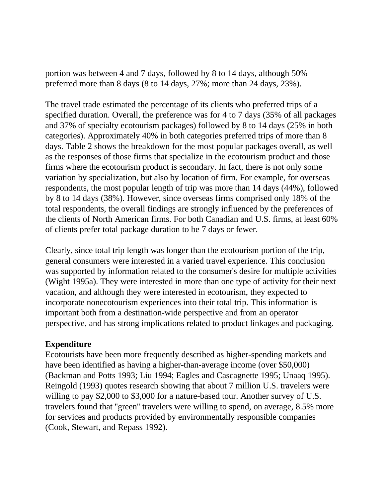portion was between 4 and 7 days, followed by 8 to 14 days, although 50% preferred more than 8 days (8 to 14 days, 27%; more than 24 days, 23%).

The travel trade estimated the percentage of its clients who preferred trips of a specified duration. Overall, the preference was for 4 to 7 days (35% of all packages and 37% of specialty ecotourism packages) followed by 8 to 14 days (25% in both categories). Approximately 40% in both categories preferred trips of more than 8 days. Table 2 shows the breakdown for the most popular packages overall, as well as the responses of those firms that specialize in the ecotourism product and those firms where the ecotourism product is secondary. In fact, there is not only some variation by specialization, but also by location of firm. For example, for overseas respondents, the most popular length of trip was more than 14 days (44%), followed by 8 to 14 days (38%). However, since overseas firms comprised only 18% of the total respondents, the overall findings are strongly influenced by the preferences of the clients of North American firms. For both Canadian and U.S. firms, at least 60% of clients prefer total package duration to be 7 days or fewer.

Clearly, since total trip length was longer than the ecotourism portion of the trip, general consumers were interested in a varied travel experience. This conclusion was supported by information related to the consumer's desire for multiple activities (Wight 1995a). They were interested in more than one type of activity for their next vacation, and although they were interested in ecotourism, they expected to incorporate nonecotourism experiences into their total trip. This information is important both from a destination-wide perspective and from an operator perspective, and has strong implications related to product linkages and packaging.

#### **Expenditure**

Ecotourists have been more frequently described as higher-spending markets and have been identified as having a higher-than-average income (over \$50,000) (Backman and Potts 1993; Liu 1994; Eagles and Cascagnette 1995; Unaaq 1995). Reingold (1993) quotes research showing that about 7 million U.S. travelers were willing to pay \$2,000 to \$3,000 for a nature-based tour. Another survey of U.S. travelers found that ''green'' travelers were willing to spend, on average, 8.5% more for services and products provided by environmentally responsible companies (Cook, Stewart, and Repass 1992).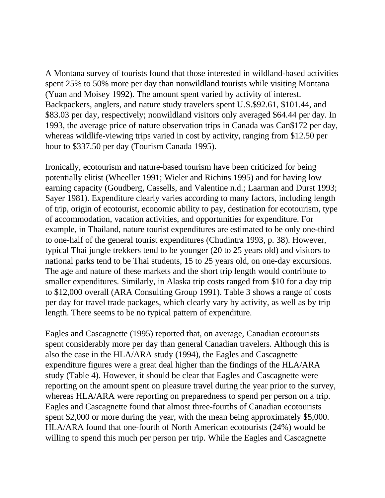A Montana survey of tourists found that those interested in wildland-based activities spent 25% to 50% more per day than nonwildland tourists while visiting Montana (Yuan and Moisey 1992). The amount spent varied by activity of interest. Backpackers, anglers, and nature study travelers spent U.S.\$92.61, \$101.44, and \$83.03 per day, respectively; nonwildland visitors only averaged \$64.44 per day. In 1993, the average price of nature observation trips in Canada was Can\$172 per day, whereas wildlife-viewing trips varied in cost by activity, ranging from \$12.50 per hour to \$337.50 per day (Tourism Canada 1995).

Ironically, ecotourism and nature-based tourism have been criticized for being potentially elitist (Wheeller 1991; Wieler and Richins 1995) and for having low earning capacity (Goudberg, Cassells, and Valentine n.d.; Laarman and Durst 1993; Sayer 1981). Expenditure clearly varies according to many factors, including length of trip, origin of ecotourist, economic ability to pay, destination for ecotourism, type of accommodation, vacation activities, and opportunities for expenditure. For example, in Thailand, nature tourist expenditures are estimated to be only one-third to one-half of the general tourist expenditures (Chudintra 1993, p. 38). However, typical Thai jungle trekkers tend to be younger (20 to 25 years old) and visitors to national parks tend to be Thai students, 15 to 25 years old, on one-day excursions. The age and nature of these markets and the short trip length would contribute to smaller expenditures. Similarly, in Alaska trip costs ranged from \$10 for a day trip to \$12,000 overall (ARA Consulting Group 1991). Table 3 shows a range of costs per day for travel trade packages, which clearly vary by activity, as well as by trip length. There seems to be no typical pattern of expenditure.

Eagles and Cascagnette (1995) reported that, on average, Canadian ecotourists spent considerably more per day than general Canadian travelers. Although this is also the case in the HLA/ARA study (1994), the Eagles and Cascagnette expenditure figures were a great deal higher than the findings of the HLA/ARA study (Table 4). However, it should be clear that Eagles and Cascagnette were reporting on the amount spent on pleasure travel during the year prior to the survey, whereas HLA/ARA were reporting on preparedness to spend per person on a trip. Eagles and Cascagnette found that almost three-fourths of Canadian ecotourists spent \$2,000 or more during the year, with the mean being approximately \$5,000. HLA/ARA found that one-fourth of North American ecotourists (24%) would be willing to spend this much per person per trip. While the Eagles and Cascagnette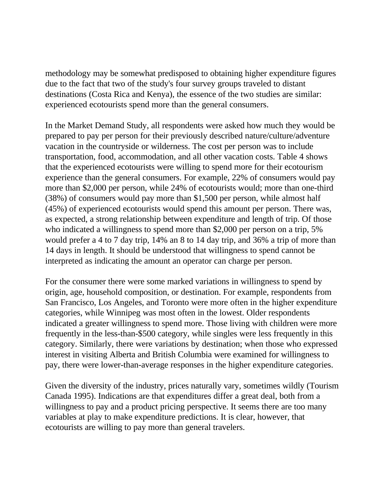methodology may be somewhat predisposed to obtaining higher expenditure figures due to the fact that two of the study's four survey groups traveled to distant destinations (Costa Rica and Kenya), the essence of the two studies are similar: experienced ecotourists spend more than the general consumers.

In the Market Demand Study, all respondents were asked how much they would be prepared to pay per person for their previously described nature/culture/adventure vacation in the countryside or wilderness. The cost per person was to include transportation, food, accommodation, and all other vacation costs. Table 4 shows that the experienced ecotourists were willing to spend more for their ecotourism experience than the general consumers. For example, 22% of consumers would pay more than \$2,000 per person, while 24% of ecotourists would; more than one-third (38%) of consumers would pay more than \$1,500 per person, while almost half (45%) of experienced ecotourists would spend this amount per person. There was, as expected, a strong relationship between expenditure and length of trip. Of those who indicated a willingness to spend more than \$2,000 per person on a trip, 5% would prefer a 4 to 7 day trip, 14% an 8 to 14 day trip, and 36% a trip of more than 14 days in length. It should be understood that willingness to spend cannot be interpreted as indicating the amount an operator can charge per person.

For the consumer there were some marked variations in willingness to spend by origin, age, household composition, or destination. For example, respondents from San Francisco, Los Angeles, and Toronto were more often in the higher expenditure categories, while Winnipeg was most often in the lowest. Older respondents indicated a greater willingness to spend more. Those living with children were more frequently in the less-than-\$500 category, while singles were less frequently in this category. Similarly, there were variations by destination; when those who expressed interest in visiting Alberta and British Columbia were examined for willingness to pay, there were lower-than-average responses in the higher expenditure categories.

Given the diversity of the industry, prices naturally vary, sometimes wildly (Tourism Canada 1995). Indications are that expenditures differ a great deal, both from a willingness to pay and a product pricing perspective. It seems there are too many variables at play to make expenditure predictions. It is clear, however, that ecotourists are willing to pay more than general travelers.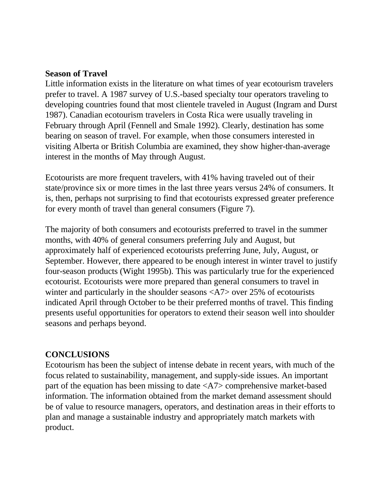#### **Season of Travel**

Little information exists in the literature on what times of year ecotourism travelers prefer to travel. A 1987 survey of U.S.-based specialty tour operators traveling to developing countries found that most clientele traveled in August (Ingram and Durst 1987). Canadian ecotourism travelers in Costa Rica were usually traveling in February through April (Fennell and Smale 1992). Clearly, destination has some bearing on season of travel. For example, when those consumers interested in visiting Alberta or British Columbia are examined, they show higher-than-average interest in the months of May through August.

Ecotourists are more frequent travelers, with 41% having traveled out of their state/province six or more times in the last three years versus 24% of consumers. It is, then, perhaps not surprising to find that ecotourists expressed greater preference for every month of travel than general consumers (Figure 7).

The majority of both consumers and ecotourists preferred to travel in the summer months, with 40% of general consumers preferring July and August, but approximately half of experienced ecotourists preferring June, July, August, or September. However, there appeared to be enough interest in winter travel to justify four-season products (Wight 1995b). This was particularly true for the experienced ecotourist. Ecotourists were more prepared than general consumers to travel in winter and particularly in the shoulder seasons  $\langle A7 \rangle$  over 25% of ecotourists indicated April through October to be their preferred months of travel. This finding presents useful opportunities for operators to extend their season well into shoulder seasons and perhaps beyond.

#### **CONCLUSIONS**

Ecotourism has been the subject of intense debate in recent years, with much of the focus related to sustainability, management, and supply-side issues. An important part of the equation has been missing to date <A7> comprehensive market-based information. The information obtained from the market demand assessment should be of value to resource managers, operators, and destination areas in their efforts to plan and manage a sustainable industry and appropriately match markets with product.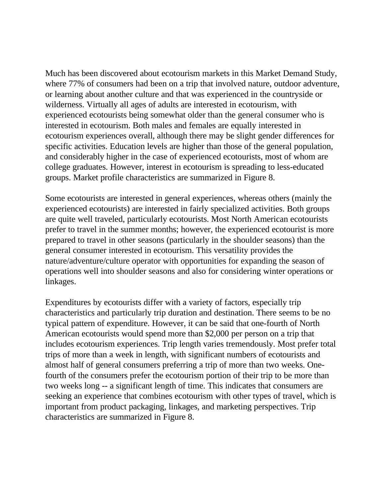Much has been discovered about ecotourism markets in this Market Demand Study, where 77% of consumers had been on a trip that involved nature, outdoor adventure, or learning about another culture and that was experienced in the countryside or wilderness. Virtually all ages of adults are interested in ecotourism, with experienced ecotourists being somewhat older than the general consumer who is interested in ecotourism. Both males and females are equally interested in ecotourism experiences overall, although there may be slight gender differences for specific activities. Education levels are higher than those of the general population, and considerably higher in the case of experienced ecotourists, most of whom are college graduates. However, interest in ecotourism is spreading to less-educated groups. Market profile characteristics are summarized in Figure 8.

Some ecotourists are interested in general experiences, whereas others (mainly the experienced ecotourists) are interested in fairly specialized activities. Both groups are quite well traveled, particularly ecotourists. Most North American ecotourists prefer to travel in the summer months; however, the experienced ecotourist is more prepared to travel in other seasons (particularly in the shoulder seasons) than the general consumer interested in ecotourism. This versatility provides the nature/adventure/culture operator with opportunities for expanding the season of operations well into shoulder seasons and also for considering winter operations or linkages.

Expenditures by ecotourists differ with a variety of factors, especially trip characteristics and particularly trip duration and destination. There seems to be no typical pattern of expenditure. However, it can be said that one-fourth of North American ecotourists would spend more than \$2,000 per person on a trip that includes ecotourism experiences. Trip length varies tremendously. Most prefer total trips of more than a week in length, with significant numbers of ecotourists and almost half of general consumers preferring a trip of more than two weeks. Onefourth of the consumers prefer the ecotourism portion of their trip to be more than two weeks long -- a significant length of time. This indicates that consumers are seeking an experience that combines ecotourism with other types of travel, which is important from product packaging, linkages, and marketing perspectives. Trip characteristics are summarized in Figure 8.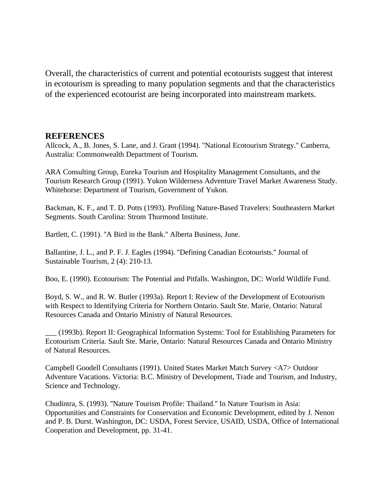Overall, the characteristics of current and potential ecotourists suggest that interest in ecotourism is spreading to many population segments and that the characteristics of the experienced ecotourist are being incorporated into mainstream markets.

#### **REFERENCES**

Allcock, A., B. Jones, S. Lane, and J. Grant (1994). ''National Ecotourism Strategy.'' Canberra, Australia: Commonwealth Department of Tourism.

ARA Consulting Group, Eureka Tourism and Hospitality Management Consultants, and the Tourism Research Group (1991). Yukon Wilderness Adventure Travel Market Awareness Study. Whitehorse: Department of Tourism, Government of Yukon.

Backman, K. F., and T. D. Potts (1993). Profiling Nature-Based Travelers: Southeastern Market Segments. South Carolina: Strom Thurmond Institute.

Bartlett, C. (1991). ''A Bird in the Bank.'' Alberta Business, June.

Ballantine, J. L., and P. F. J. Eagles (1994). ''Defining Canadian Ecotourists.'' Journal of Sustainable Tourism, 2 (4): 210-13.

Boo, E. (1990). Ecotourism: The Potential and Pitfalls. Washington, DC: World Wildlife Fund.

Boyd, S. W., and R. W. Butler (1993a). Report I: Review of the Development of Ecotourism with Respect to Identifying Criteria for Northern Ontario. Sault Ste. Marie, Ontario: Natural Resources Canada and Ontario Ministry of Natural Resources.

\_\_\_ (1993b). Report II: Geographical Information Systems: Tool for Establishing Parameters for Ecotourism Criteria. Sault Ste. Marie, Ontario: Natural Resources Canada and Ontario Ministry of Natural Resources.

Campbell Goodell Consultants (1991). United States Market Match Survey <A7> Outdoor Adventure Vacations. Victoria: B.C. Ministry of Development, Trade and Tourism, and Industry, Science and Technology.

Chudintra, S. (1993). ''Nature Tourism Profile: Thailand.'' In Nature Tourism in Asia: Opportunities and Constraints for Conservation and Economic Development, edited by J. Nenon and P. B. Durst. Washington, DC: USDA, Forest Service, USAID, USDA, Office of International Cooperation and Development, pp. 31-41.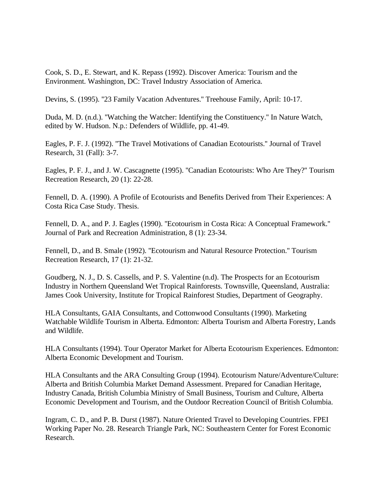Cook, S. D., E. Stewart, and K. Repass (1992). Discover America: Tourism and the Environment. Washington, DC: Travel Industry Association of America.

Devins, S. (1995). ''23 Family Vacation Adventures.'' Treehouse Family, April: 10-17.

Duda, M. D. (n.d.). ''Watching the Watcher: Identifying the Constituency.'' In Nature Watch, edited by W. Hudson. N.p.: Defenders of Wildlife, pp. 41-49.

Eagles, P. F. J. (1992). ''The Travel Motivations of Canadian Ecotourists.'' Journal of Travel Research, 31 (Fall): 3-7.

Eagles, P. F. J., and J. W. Cascagnette (1995). ''Canadian Ecotourists: Who Are They?'' Tourism Recreation Research, 20 (1): 22-28.

Fennell, D. A. (1990). A Profile of Ecotourists and Benefits Derived from Their Experiences: A Costa Rica Case Study. Thesis.

Fennell, D. A., and P. J. Eagles (1990). ''Ecotourism in Costa Rica: A Conceptual Framework.'' Journal of Park and Recreation Administration, 8 (1): 23-34.

Fennell, D., and B. Smale (1992). ''Ecotourism and Natural Resource Protection.'' Tourism Recreation Research, 17 (1): 21-32.

Goudberg, N. J., D. S. Cassells, and P. S. Valentine (n.d). The Prospects for an Ecotourism Industry in Northern Queensland Wet Tropical Rainforests. Townsville, Queensland, Australia: James Cook University, Institute for Tropical Rainforest Studies, Department of Geography.

HLA Consultants, GAIA Consultants, and Cottonwood Consultants (1990). Marketing Watchable Wildlife Tourism in Alberta. Edmonton: Alberta Tourism and Alberta Forestry, Lands and Wildlife.

HLA Consultants (1994). Tour Operator Market for Alberta Ecotourism Experiences. Edmonton: Alberta Economic Development and Tourism.

HLA Consultants and the ARA Consulting Group (1994). Ecotourism Nature/Adventure/Culture: Alberta and British Columbia Market Demand Assessment. Prepared for Canadian Heritage, Industry Canada, British Columbia Ministry of Small Business, Tourism and Culture, Alberta Economic Development and Tourism, and the Outdoor Recreation Council of British Columbia.

Ingram, C. D., and P. B. Durst (1987). Nature Oriented Travel to Developing Countries. FPEI Working Paper No. 28. Research Triangle Park, NC: Southeastern Center for Forest Economic Research.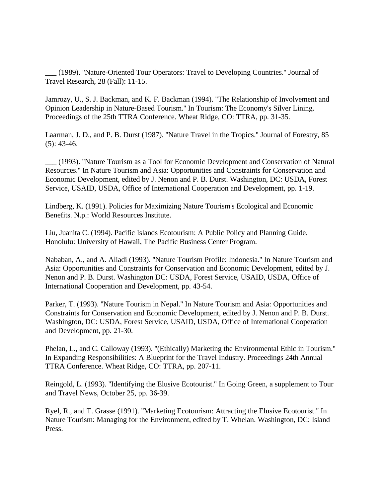\_\_\_ (1989). ''Nature-Oriented Tour Operators: Travel to Developing Countries.'' Journal of Travel Research, 28 (Fall): 11-15.

Jamrozy, U., S. J. Backman, and K. F. Backman (1994). ''The Relationship of Involvement and Opinion Leadership in Nature-Based Tourism.'' In Tourism: The Economy's Silver Lining. Proceedings of the 25th TTRA Conference. Wheat Ridge, CO: TTRA, pp. 31-35.

Laarman, J. D., and P. B. Durst (1987). ''Nature Travel in the Tropics.'' Journal of Forestry, 85 (5): 43-46.

\_\_\_ (1993). ''Nature Tourism as a Tool for Economic Development and Conservation of Natural Resources.'' In Nature Tourism and Asia: Opportunities and Constraints for Conservation and Economic Development, edited by J. Nenon and P. B. Durst. Washington, DC: USDA, Forest Service, USAID, USDA, Office of International Cooperation and Development, pp. 1-19.

Lindberg, K. (1991). Policies for Maximizing Nature Tourism's Ecological and Economic Benefits. N.p.: World Resources Institute.

Liu, Juanita C. (1994). Pacific Islands Ecotourism: A Public Policy and Planning Guide. Honolulu: University of Hawaii, The Pacific Business Center Program.

Nababan, A., and A. Aliadi (1993). ''Nature Tourism Profile: Indonesia.'' In Nature Tourism and Asia: Opportunities and Constraints for Conservation and Economic Development, edited by J. Nenon and P. B. Durst. Washington DC: USDA, Forest Service, USAID, USDA, Office of International Cooperation and Development, pp. 43-54.

Parker, T. (1993). ''Nature Tourism in Nepal.'' In Nature Tourism and Asia: Opportunities and Constraints for Conservation and Economic Development, edited by J. Nenon and P. B. Durst. Washington, DC: USDA, Forest Service, USAID, USDA, Office of International Cooperation and Development, pp. 21-30.

Phelan, L., and C. Calloway (1993). ''(Ethically) Marketing the Environmental Ethic in Tourism.'' In Expanding Responsibilities: A Blueprint for the Travel Industry. Proceedings 24th Annual TTRA Conference. Wheat Ridge, CO: TTRA, pp. 207-11.

Reingold, L. (1993). ''Identifying the Elusive Ecotourist.'' In Going Green, a supplement to Tour and Travel News, October 25, pp. 36-39.

Ryel, R., and T. Grasse (1991). ''Marketing Ecotourism: Attracting the Elusive Ecotourist.'' In Nature Tourism: Managing for the Environment, edited by T. Whelan. Washington, DC: Island Press.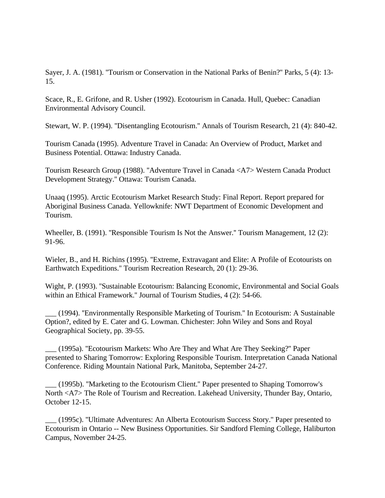Sayer, J. A. (1981). ''Tourism or Conservation in the National Parks of Benin?'' Parks, 5 (4): 13- 15.

Scace, R., E. Grifone, and R. Usher (1992). Ecotourism in Canada. Hull, Quebec: Canadian Environmental Advisory Council.

Stewart, W. P. (1994). ''Disentangling Ecotourism.'' Annals of Tourism Research, 21 (4): 840-42.

Tourism Canada (1995). Adventure Travel in Canada: An Overview of Product, Market and Business Potential. Ottawa: Industry Canada.

Tourism Research Group (1988). ''Adventure Travel in Canada <A7> Western Canada Product Development Strategy.'' Ottawa: Tourism Canada.

Unaaq (1995). Arctic Ecotourism Market Research Study: Final Report. Report prepared for Aboriginal Business Canada. Yellowknife: NWT Department of Economic Development and Tourism.

Wheeller, B. (1991). ''Responsible Tourism Is Not the Answer.'' Tourism Management, 12 (2): 91-96.

Wieler, B., and H. Richins (1995). ''Extreme, Extravagant and Elite: A Profile of Ecotourists on Earthwatch Expeditions.'' Tourism Recreation Research, 20 (1): 29-36.

Wight, P. (1993). ''Sustainable Ecotourism: Balancing Economic, Environmental and Social Goals within an Ethical Framework.'' Journal of Tourism Studies, 4 (2): 54-66.

\_\_\_ (1994). ''Environmentally Responsible Marketing of Tourism.'' In Ecotourism: A Sustainable Option?, edited by E. Cater and G. Lowman. Chichester: John Wiley and Sons and Royal Geographical Society, pp. 39-55.

\_\_\_ (1995a). ''Ecotourism Markets: Who Are They and What Are They Seeking?'' Paper presented to Sharing Tomorrow: Exploring Responsible Tourism. Interpretation Canada National Conference. Riding Mountain National Park, Manitoba, September 24-27.

\_\_\_ (1995b). ''Marketing to the Ecotourism Client.'' Paper presented to Shaping Tomorrow's North <A7> The Role of Tourism and Recreation. Lakehead University, Thunder Bay, Ontario, October 12-15.

\_\_\_ (1995c). ''Ultimate Adventures: An Alberta Ecotourism Success Story.'' Paper presented to Ecotourism in Ontario -- New Business Opportunities. Sir Sandford Fleming College, Haliburton Campus, November 24-25.